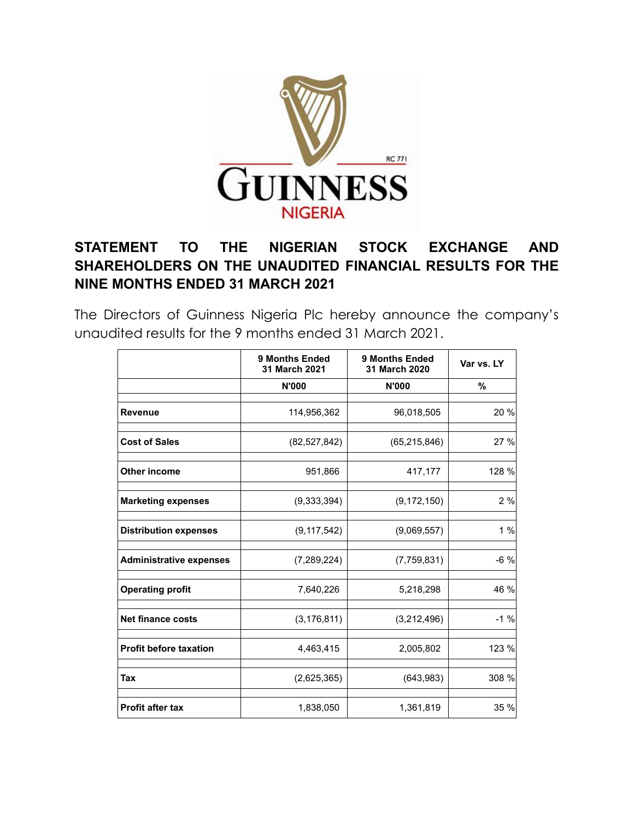

## **STATEMENT TO THE NIGERIAN STOCK EXCHANGE AND SHAREHOLDERS ON THE UNAUDITED FINANCIAL RESULTS FOR THE NINE MONTHS ENDED 31 MARCH 2021**

The Directors of Guinness Nigeria Plc hereby announce the company's unaudited results for the 9 months ended 31 March 2021.

|                                | <b>9 Months Ended</b><br>31 March 2021 | <b>9 Months Ended</b><br>31 March 2020 | Var vs. LY |
|--------------------------------|----------------------------------------|----------------------------------------|------------|
|                                | <b>N'000</b>                           | <b>N'000</b>                           | %          |
| Revenue                        | 114,956,362                            | 96,018,505                             | 20 %       |
| <b>Cost of Sales</b>           | (82, 527, 842)                         | (65, 215, 846)                         | 27 %       |
| <b>Other income</b>            | 951,866                                | 417,177                                | 128 %      |
| <b>Marketing expenses</b>      | (9,333,394)                            | (9, 172, 150)                          | 2%         |
| <b>Distribution expenses</b>   | (9, 117, 542)                          | (9,069,557)                            | 1%         |
| <b>Administrative expenses</b> | (7,289,224)                            | (7,759,831)                            | $-6%$      |
| <b>Operating profit</b>        | 7,640,226                              | 5,218,298                              | 46 %       |
| <b>Net finance costs</b>       | (3, 176, 811)                          | (3,212,496)                            | $-1%$      |
| <b>Profit before taxation</b>  | 4,463,415                              | 2,005,802                              | 123 %      |
| Tax                            | (2,625,365)                            | (643,983)                              | 308 %      |
| <b>Profit after tax</b>        | 1,838,050                              | 1,361,819                              | 35 %       |